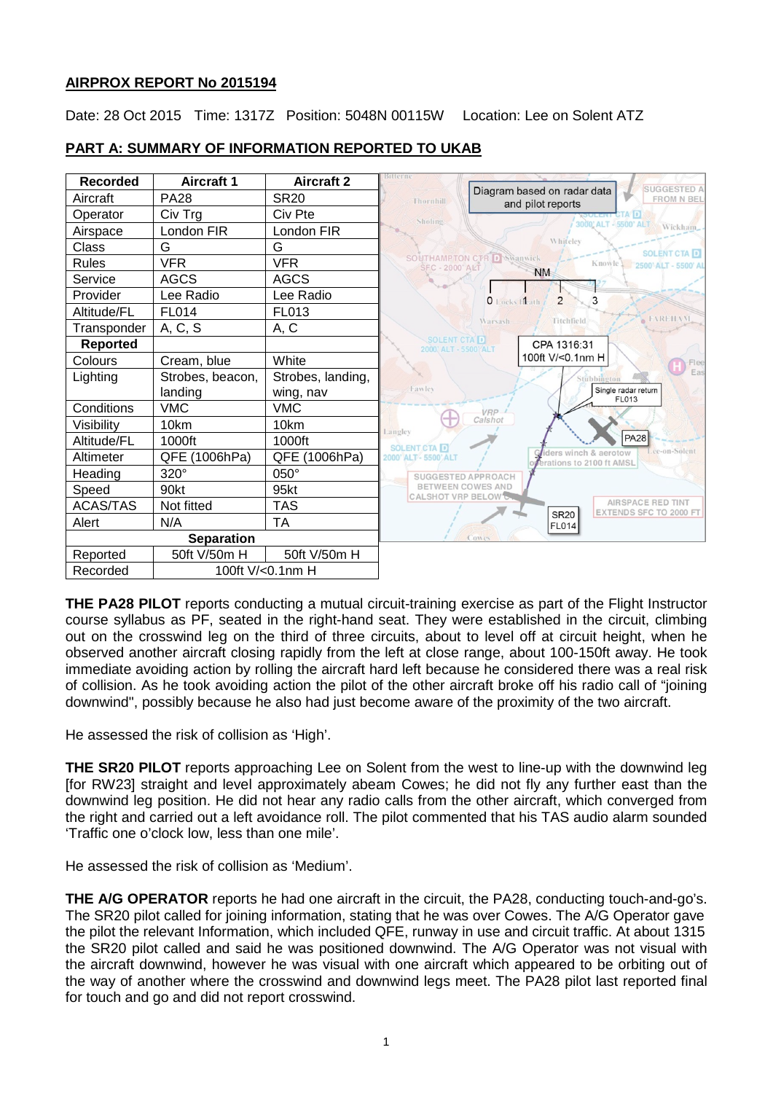### **AIRPROX REPORT No 2015194**

Date: 28 Oct 2015 Time: 1317Z Position: 5048N 00115W Location: Lee on Solent ATZ



# **PART A: SUMMARY OF INFORMATION REPORTED TO UKAB**

**THE PA28 PILOT** reports conducting a mutual circuit-training exercise as part of the Flight Instructor course syllabus as PF, seated in the right-hand seat. They were established in the circuit, climbing out on the crosswind leg on the third of three circuits, about to level off at circuit height, when he observed another aircraft closing rapidly from the left at close range, about 100-150ft away. He took immediate avoiding action by rolling the aircraft hard left because he considered there was a real risk of collision. As he took avoiding action the pilot of the other aircraft broke off his radio call of "joining downwind", possibly because he also had just become aware of the proximity of the two aircraft.

He assessed the risk of collision as 'High'.

**THE SR20 PILOT** reports approaching Lee on Solent from the west to line-up with the downwind leg [for RW23] straight and level approximately abeam Cowes; he did not fly any further east than the downwind leg position. He did not hear any radio calls from the other aircraft, which converged from the right and carried out a left avoidance roll. The pilot commented that his TAS audio alarm sounded 'Traffic one o'clock low, less than one mile'.

He assessed the risk of collision as 'Medium'.

**THE A/G OPERATOR** reports he had one aircraft in the circuit, the PA28, conducting touch-and-go's. The SR20 pilot called for joining information, stating that he was over Cowes. The A/G Operator gave the pilot the relevant Information, which included QFE, runway in use and circuit traffic. At about 1315 the SR20 pilot called and said he was positioned downwind. The A/G Operator was not visual with the aircraft downwind, however he was visual with one aircraft which appeared to be orbiting out of the way of another where the crosswind and downwind legs meet. The PA28 pilot last reported final for touch and go and did not report crosswind.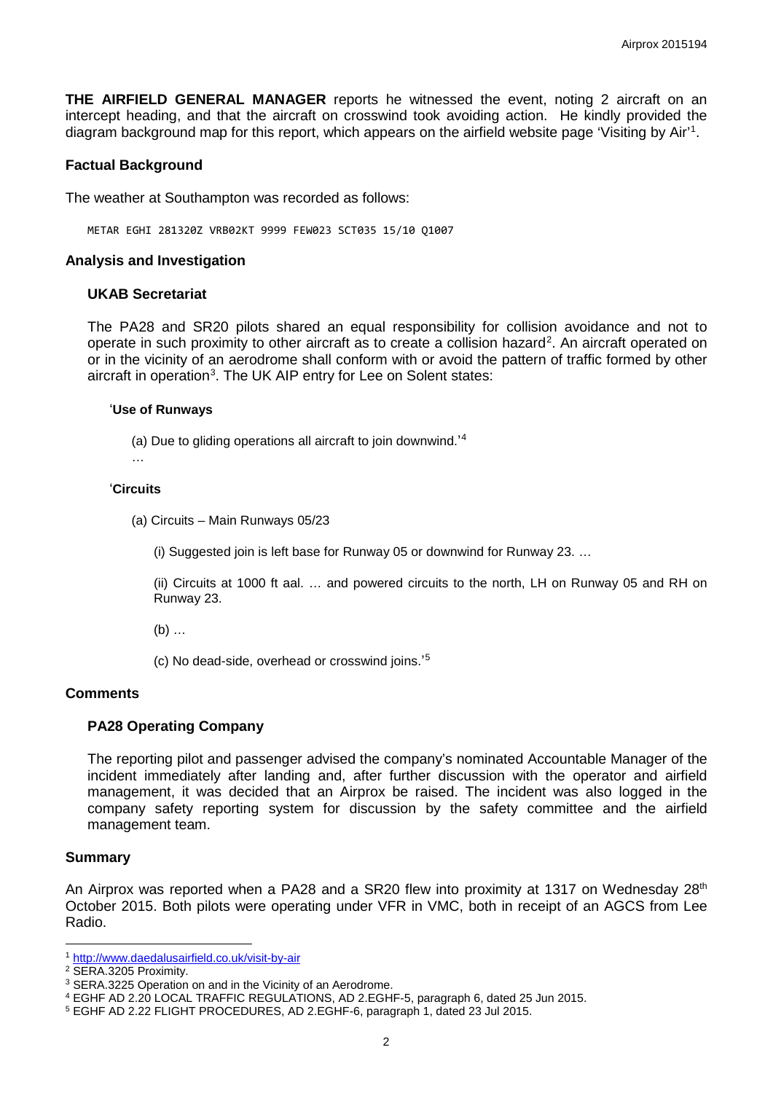**THE AIRFIELD GENERAL MANAGER** reports he witnessed the event, noting 2 aircraft on an intercept heading, and that the aircraft on crosswind took avoiding action. He kindly provided the diagram background map for this report, which appears on the airfield website page 'Visiting by Air'<sup>[1](#page-1-0)</sup>.

### **Factual Background**

The weather at Southampton was recorded as follows:

METAR EGHI 281320Z VRB02KT 9999 FEW023 SCT035 15/10 Q1007

#### **Analysis and Investigation**

#### **UKAB Secretariat**

The PA28 and SR20 pilots shared an equal responsibility for collision avoidance and not to operate in such proximity to other aircraft as to create a collision hazard<sup>[2](#page-1-1)</sup>. An aircraft operated on or in the vicinity of an aerodrome shall conform with or avoid the pattern of traffic formed by other aircraft in operation<sup>[3](#page-1-2)</sup>. The UK AIP entry for Lee on Solent states:

#### '**Use of Runways**

(a) Due to gliding operations all aircraft to join downwind.' [4](#page-1-3)

…

#### '**Circuits**

(a) Circuits – Main Runways 05/23

(i) Suggested join is left base for Runway 05 or downwind for Runway 23. …

(ii) Circuits at 1000 ft aal. … and powered circuits to the north, LH on Runway 05 and RH on Runway 23.

(b) …

(c) No dead-side, overhead or crosswind joins.' [5](#page-1-4)

#### **Comments**

#### **PA28 Operating Company**

The reporting pilot and passenger advised the company's nominated Accountable Manager of the incident immediately after landing and, after further discussion with the operator and airfield management, it was decided that an Airprox be raised. The incident was also logged in the company safety reporting system for discussion by the safety committee and the airfield management team.

#### **Summary**

An Airprox was reported when a PA28 and a SR20 flew into proximity at 1317 on Wednesday 28<sup>th</sup> October 2015. Both pilots were operating under VFR in VMC, both in receipt of an AGCS from Lee Radio.

l <sup>1</sup> <http://www.daedalusairfield.co.uk/visit-by-air>

<span id="page-1-1"></span><span id="page-1-0"></span><sup>2</sup> SERA.3205 Proximity.

<span id="page-1-2"></span><sup>3</sup> SERA.3225 Operation on and in the Vicinity of an Aerodrome.

<span id="page-1-3"></span><sup>4</sup> EGHF AD 2.20 LOCAL TRAFFIC REGULATIONS, AD 2.EGHF-5, paragraph 6, dated 25 Jun 2015.

<span id="page-1-4"></span><sup>5</sup> EGHF AD 2.22 FLIGHT PROCEDURES, AD 2.EGHF-6, paragraph 1, dated 23 Jul 2015.